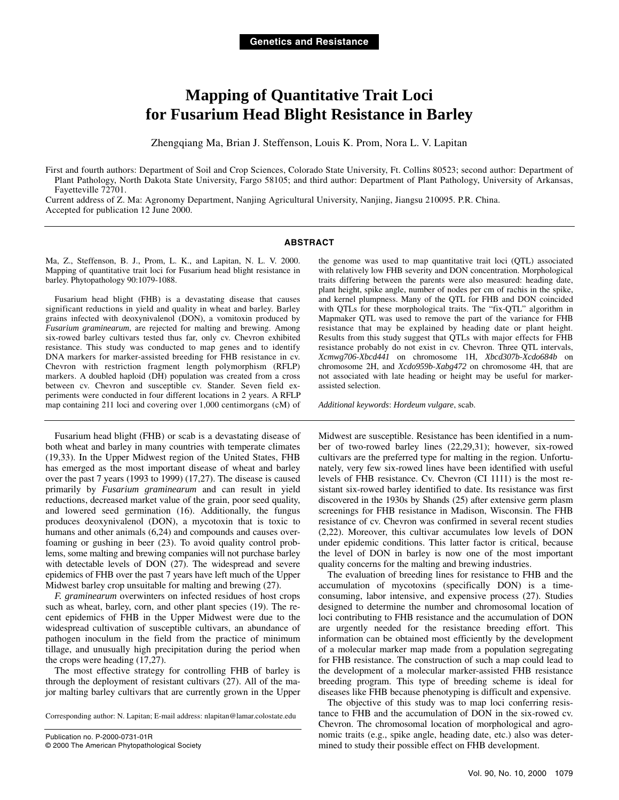# **Mapping of Quantitative Trait Loci for Fusarium Head Blight Resistance in Barley**

Zhengqiang Ma, Brian J. Steffenson, Louis K. Prom, Nora L. V. Lapitan

First and fourth authors: Department of Soil and Crop Sciences, Colorado State University, Ft. Collins 80523; second author: Department of Plant Pathology, North Dakota State University, Fargo 58105; and third author: Department of Plant Pathology, University of Arkansas, Fayetteville 72701.

Current address of Z. Ma: Agronomy Department, Nanjing Agricultural University, Nanjing, Jiangsu 210095. P.R. China. Accepted for publication 12 June 2000.

#### **ABSTRACT**

Ma, Z., Steffenson, B. J., Prom, L. K., and Lapitan, N. L. V. 2000. Mapping of quantitative trait loci for Fusarium head blight resistance in barley. Phytopathology 90:1079-1088.

Fusarium head blight (FHB) is a devastating disease that causes significant reductions in yield and quality in wheat and barley. Barley grains infected with deoxynivalenol (DON), a vomitoxin produced by *Fusarium graminearum*, are rejected for malting and brewing. Among six-rowed barley cultivars tested thus far, only cv. Chevron exhibited resistance. This study was conducted to map genes and to identify DNA markers for marker-assisted breeding for FHB resistance in cv. Chevron with restriction fragment length polymorphism (RFLP) markers. A doubled haploid (DH) population was created from a cross between cv. Chevron and susceptible cv. Stander. Seven field experiments were conducted in four different locations in 2 years. A RFLP map containing 211 loci and covering over 1,000 centimorgans (cM) of

Fusarium head blight (FHB) or scab is a devastating disease of both wheat and barley in many countries with temperate climates (19,33). In the Upper Midwest region of the United States, FHB has emerged as the most important disease of wheat and barley over the past 7 years (1993 to 1999) (17,27). The disease is caused primarily by *Fusarium graminearum* and can result in yield reductions, decreased market value of the grain, poor seed quality, and lowered seed germination (16). Additionally, the fungus produces deoxynivalenol (DON), a mycotoxin that is toxic to humans and other animals  $(6,24)$  and compounds and causes overfoaming or gushing in beer (23). To avoid quality control problems, some malting and brewing companies will not purchase barley with detectable levels of DON (27). The widespread and severe epidemics of FHB over the past 7 years have left much of the Upper Midwest barley crop unsuitable for malting and brewing (27).

*F. graminearum* overwinters on infected residues of host crops such as wheat, barley, corn, and other plant species (19). The recent epidemics of FHB in the Upper Midwest were due to the widespread cultivation of susceptible cultivars, an abundance of pathogen inoculum in the field from the practice of minimum tillage, and unusually high precipitation during the period when the crops were heading (17,27).

The most effective strategy for controlling FHB of barley is through the deployment of resistant cultivars (27). All of the major malting barley cultivars that are currently grown in the Upper

Corresponding author: N. Lapitan; E-mail address: nlapitan@lamar.colostate.edu

the genome was used to map quantitative trait loci (QTL) associated with relatively low FHB severity and DON concentration. Morphological traits differing between the parents were also measured: heading date, plant height, spike angle, number of nodes per cm of rachis in the spike, and kernel plumpness. Many of the QTL for FHB and DON coincided with QTLs for these morphological traits. The "fix-QTL" algorithm in Mapmaker QTL was used to remove the part of the variance for FHB resistance that may be explained by heading date or plant height. Results from this study suggest that QTLs with major effects for FHB resistance probably do not exist in cv. Chevron. Three QTL intervals, *Xcmwg706*-*Xbcd441* on chromosome 1H, *Xbcd307b*-*Xcdo684b* on chromosome 2H, and *Xcdo959b*-*Xabg472* on chromosome 4H, that are not associated with late heading or height may be useful for markerassisted selection.

*Additional keywords*: *Hordeum vulgare*, scab.

Midwest are susceptible. Resistance has been identified in a number of two-rowed barley lines (22,29,31); however, six-rowed cultivars are the preferred type for malting in the region. Unfortunately, very few six-rowed lines have been identified with useful levels of FHB resistance. Cv. Chevron (CI 1111) is the most resistant six-rowed barley identified to date. Its resistance was first discovered in the 1930s by Shands (25) after extensive germ plasm screenings for FHB resistance in Madison, Wisconsin. The FHB resistance of cv. Chevron was confirmed in several recent studies (2,22). Moreover, this cultivar accumulates low levels of DON under epidemic conditions. This latter factor is critical, because the level of DON in barley is now one of the most important quality concerns for the malting and brewing industries.

The evaluation of breeding lines for resistance to FHB and the accumulation of mycotoxins (specifically DON) is a timeconsuming, labor intensive, and expensive process (27). Studies designed to determine the number and chromosomal location of loci contributing to FHB resistance and the accumulation of DON are urgently needed for the resistance breeding effort. This information can be obtained most efficiently by the development of a molecular marker map made from a population segregating for FHB resistance. The construction of such a map could lead to the development of a molecular marker-assisted FHB resistance breeding program. This type of breeding scheme is ideal for diseases like FHB because phenotyping is difficult and expensive.

The objective of this study was to map loci conferring resistance to FHB and the accumulation of DON in the six-rowed cv. Chevron. The chromosomal location of morphological and agronomic traits (e.g., spike angle, heading date, etc.) also was determined to study their possible effect on FHB development.

Publication no. P-2000-0731-01R © 2000 The American Phytopathological Society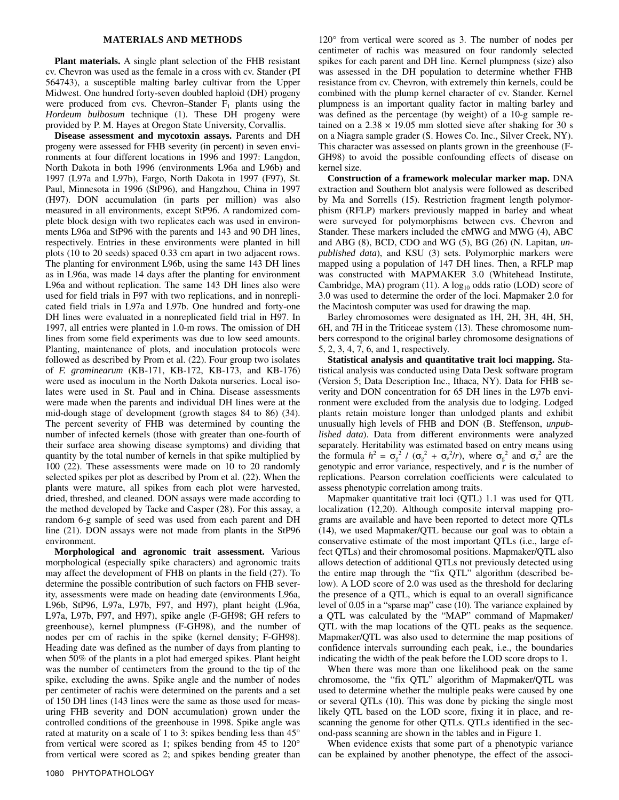## **MATERIALS AND METHODS**

**Plant materials.** A single plant selection of the FHB resistant cv. Chevron was used as the female in a cross with cv. Stander (PI 564743), a susceptible malting barley cultivar from the Upper Midwest. One hundred forty-seven doubled haploid (DH) progeny were produced from cvs. Chevron–Stander  $F_1$  plants using the *Hordeum bulbosum* technique (1). These DH progeny were provided by P. M. Hayes at Oregon State University, Corvallis.

**Disease assessment and mycotoxin assays.** Parents and DH progeny were assessed for FHB severity (in percent) in seven environments at four different locations in 1996 and 1997: Langdon, North Dakota in both 1996 (environments L96a and L96b) and 1997 (L97a and L97b), Fargo, North Dakota in 1997 (F97), St. Paul, Minnesota in 1996 (StP96), and Hangzhou, China in 1997 (H97). DON accumulation (in parts per million) was also measured in all environments, except StP96. A randomized complete block design with two replicates each was used in environments L96a and StP96 with the parents and 143 and 90 DH lines, respectively. Entries in these environments were planted in hill plots (10 to 20 seeds) spaced 0.33 cm apart in two adjacent rows. The planting for environment L96b, using the same 143 DH lines as in L96a, was made 14 days after the planting for environment L96a and without replication. The same 143 DH lines also were used for field trials in F97 with two replications, and in nonreplicated field trials in L97a and L97b. One hundred and forty-one DH lines were evaluated in a nonreplicated field trial in H97. In 1997, all entries were planted in 1.0-m rows. The omission of DH lines from some field experiments was due to low seed amounts. Planting, maintenance of plots, and inoculation protocols were followed as described by Prom et al. (22). Four group two isolates of *F. graminearum* (KB-171, KB-172, KB-173, and KB-176) were used as inoculum in the North Dakota nurseries. Local isolates were used in St. Paul and in China. Disease assessments were made when the parents and individual DH lines were at the mid-dough stage of development (growth stages 84 to 86) (34). The percent severity of FHB was determined by counting the number of infected kernels (those with greater than one-fourth of their surface area showing disease symptoms) and dividing that quantity by the total number of kernels in that spike multiplied by 100 (22). These assessments were made on 10 to 20 randomly selected spikes per plot as described by Prom et al. (22). When the plants were mature, all spikes from each plot were harvested, dried, threshed, and cleaned. DON assays were made according to the method developed by Tacke and Casper (28). For this assay, a random 6-g sample of seed was used from each parent and DH line (21). DON assays were not made from plants in the StP96 environment.

**Morphological and agronomic trait assessment.** Various morphological (especially spike characters) and agronomic traits may affect the development of FHB on plants in the field (27). To determine the possible contribution of such factors on FHB severity, assessments were made on heading date (environments L96a, L96b, StP96, L97a, L97b, F97, and H97), plant height (L96a, L97a, L97b, F97, and H97), spike angle (F-GH98; GH refers to greenhouse), kernel plumpness (F-GH98), and the number of nodes per cm of rachis in the spike (kernel density; F-GH98). Heading date was defined as the number of days from planting to when 50% of the plants in a plot had emerged spikes. Plant height was the number of centimeters from the ground to the tip of the spike, excluding the awns. Spike angle and the number of nodes per centimeter of rachis were determined on the parents and a set of 150 DH lines (143 lines were the same as those used for measuring FHB severity and DON accumulation) grown under the controlled conditions of the greenhouse in 1998. Spike angle was rated at maturity on a scale of 1 to 3: spikes bending less than 45° from vertical were scored as 1; spikes bending from 45 to 120° from vertical were scored as 2; and spikes bending greater than 120° from vertical were scored as 3. The number of nodes per centimeter of rachis was measured on four randomly selected spikes for each parent and DH line. Kernel plumpness (size) also was assessed in the DH population to determine whether FHB resistance from cv. Chevron, with extremely thin kernels, could be combined with the plump kernel character of cv. Stander. Kernel plumpness is an important quality factor in malting barley and was defined as the percentage (by weight) of a 10-g sample retained on a  $2.38 \times 19.05$  mm slotted sieve after shaking for 30 s on a Niagra sample grader (S. Howes Co. Inc., Silver Creek, NY). This character was assessed on plants grown in the greenhouse (F-GH98) to avoid the possible confounding effects of disease on kernel size.

**Construction of a framework molecular marker map.** DNA extraction and Southern blot analysis were followed as described by Ma and Sorrells (15). Restriction fragment length polymorphism (RFLP) markers previously mapped in barley and wheat were surveyed for polymorphisms between cvs. Chevron and Stander. These markers included the cMWG and MWG (4), ABC and ABG (8), BCD, CDO and WG (5), BG (26) (N. Lapitan, *unpublished data*), and KSU (3) sets. Polymorphic markers were mapped using a population of 147 DH lines. Then, a RFLP map was constructed with MAPMAKER 3.0 (Whitehead Institute, Cambridge, MA) program (11). A  $log_{10}$  odds ratio (LOD) score of 3.0 was used to determine the order of the loci. Mapmaker 2.0 for the Macintosh computer was used for drawing the map.

Barley chromosomes were designated as 1H, 2H, 3H, 4H, 5H, 6H, and 7H in the Triticeae system (13). These chromosome numbers correspond to the original barley chromosome designations of 5, 2, 3, 4, 7, 6, and 1, respectively.

**Statistical analysis and quantitative trait loci mapping.** Statistical analysis was conducted using Data Desk software program (Version 5; Data Description Inc., Ithaca, NY). Data for FHB severity and DON concentration for 65 DH lines in the L97b environment were excluded from the analysis due to lodging. Lodged plants retain moisture longer than unlodged plants and exhibit unusually high levels of FHB and DON (B. Steffenson, *unpublished data*). Data from different environments were analyzed separately. Heritability was estimated based on entry means using the formula  $h^2 = \sigma_g^2 / (\sigma_g^2 + \sigma_e^2 / r)$ , where  $\sigma_g^2$  and  $\sigma_e^2$  are the genotypic and error variance, respectively, and *r* is the number of replications. Pearson correlation coefficients were calculated to assess phenotypic correlation among traits.

Mapmaker quantitative trait loci (QTL) 1.1 was used for QTL localization (12,20). Although composite interval mapping programs are available and have been reported to detect more QTLs (14), we used Mapmaker/QTL because our goal was to obtain a conservative estimate of the most important QTLs (i.e., large effect QTLs) and their chromosomal positions. Mapmaker/QTL also allows detection of additional QTLs not previously detected using the entire map through the "fix QTL" algorithm (described below). A LOD score of 2.0 was used as the threshold for declaring the presence of a QTL, which is equal to an overall significance level of 0.05 in a "sparse map" case (10). The variance explained by a QTL was calculated by the "MAP" command of Mapmaker/ QTL with the map locations of the QTL peaks as the sequence. Mapmaker/QTL was also used to determine the map positions of confidence intervals surrounding each peak, i.e., the boundaries indicating the width of the peak before the LOD score drops to 1.

When there was more than one likelihood peak on the same chromosome, the "fix QTL" algorithm of Mapmaker/QTL was used to determine whether the multiple peaks were caused by one or several QTLs (10). This was done by picking the single most likely QTL based on the LOD score, fixing it in place, and rescanning the genome for other QTLs. QTLs identified in the second-pass scanning are shown in the tables and in Figure 1.

When evidence exists that some part of a phenotypic variance can be explained by another phenotype, the effect of the associ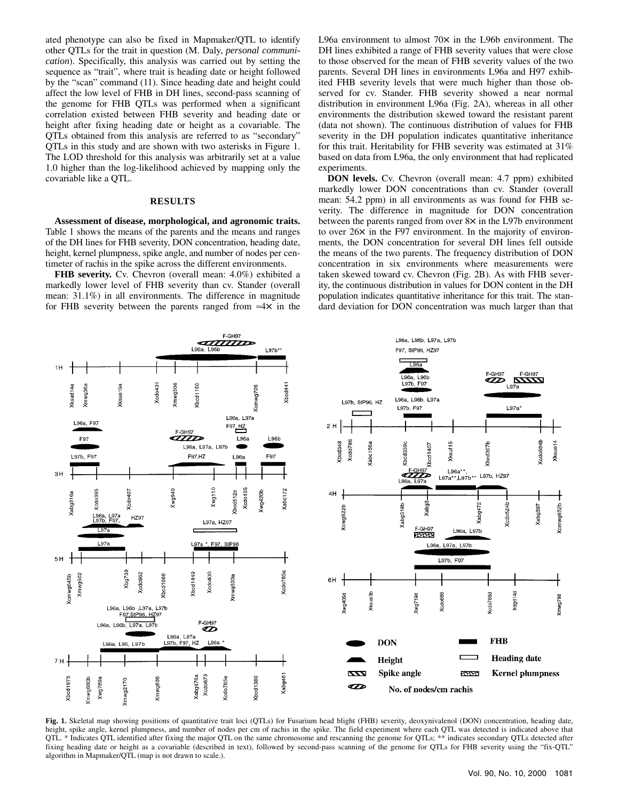ated phenotype can also be fixed in Mapmaker/QTL to identify other QTLs for the trait in question (M. Daly, *personal communication*). Specifically, this analysis was carried out by setting the sequence as "trait", where trait is heading date or height followed by the "scan" command (11). Since heading date and height could affect the low level of FHB in DH lines, second-pass scanning of the genome for FHB QTLs was performed when a significant correlation existed between FHB severity and heading date or height after fixing heading date or height as a covariable. The QTLs obtained from this analysis are referred to as "secondary" QTLs in this study and are shown with two asterisks in Figure 1. The LOD threshold for this analysis was arbitrarily set at a value 1.0 higher than the log-likelihood achieved by mapping only the covariable like a QTL.

## **RESULTS**

**Assessment of disease, morphological, and agronomic traits.** Table 1 shows the means of the parents and the means and ranges of the DH lines for FHB severity, DON concentration, heading date, height, kernel plumpness, spike angle, and number of nodes per centimeter of rachis in the spike across the different environments.

**FHB severity.** Cv. Chevron (overall mean: 4.0%) exhibited a markedly lower level of FHB severity than cv. Stander (overall mean: 31.1%) in all environments. The difference in magnitude for FHB severity between the parents ranged from ≈4× in the L96a environment to almost 70× in the L96b environment. The DH lines exhibited a range of FHB severity values that were close to those observed for the mean of FHB severity values of the two parents. Several DH lines in environments L96a and H97 exhibited FHB severity levels that were much higher than those observed for cv. Stander. FHB severity showed a near normal distribution in environment L96a (Fig. 2A), whereas in all other environments the distribution skewed toward the resistant parent (data not shown). The continuous distribution of values for FHB severity in the DH population indicates quantitative inheritance for this trait. Heritability for FHB severity was estimated at 31% based on data from L96a, the only environment that had replicated experiments.

**DON levels.** Cv. Chevron (overall mean: 4.7 ppm) exhibited markedly lower DON concentrations than cv. Stander (overall mean: 54.2 ppm) in all environments as was found for FHB severity. The difference in magnitude for DON concentration between the parents ranged from over 8× in the L97b environment to over 26× in the F97 environment. In the majority of environments, the DON concentration for several DH lines fell outside the means of the two parents. The frequency distribution of DON concentration in six environments where measurements were taken skewed toward cv. Chevron (Fig. 2B). As with FHB severity, the continuous distribution in values for DON content in the DH population indicates quantitative inheritance for this trait. The standard deviation for DON concentration was much larger than that



Fig. 1. Skeletal map showing positions of quantitative trait loci (QTLs) for Fusarium head blight (FHB) severity, deoxynivalenol (DON) concentration, heading date, height, spike angle, kernel plumpness, and number of nodes per cm of rachis in the spike. The field experiment where each QTL was detected is indicated above that QTL. \* Indicates QTL identified after fixing the major QTL on the same chromosome and rescanning the genome for QTLs; \*\* indicates secondary QTLs detected after fixing heading date or height as a covariable (described in text), followed by second-pass scanning of the genome for QTLs for FHB severity using the "fix-QTL" algorithm in Mapmaker/QTL (map is not drawn to scale.).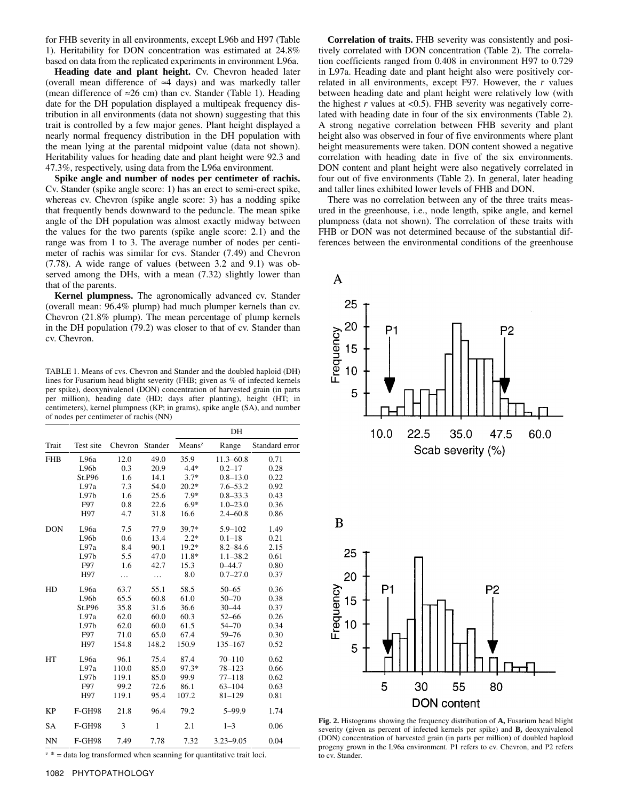for FHB severity in all environments, except L96b and H97 (Table 1). Heritability for DON concentration was estimated at 24.8% based on data from the replicated experiments in environment L96a.

**Heading date and plant height.** Cv. Chevron headed later (overall mean difference of ≈4 days) and was markedly taller (mean difference of  $\approx$ 26 cm) than cv. Stander (Table 1). Heading date for the DH population displayed a multipeak frequency distribution in all environments (data not shown) suggesting that this trait is controlled by a few major genes. Plant height displayed a nearly normal frequency distribution in the DH population with the mean lying at the parental midpoint value (data not shown). Heritability values for heading date and plant height were 92.3 and 47.3%, respectively, using data from the L96a environment.

**Spike angle and number of nodes per centimeter of rachis.** Cv. Stander (spike angle score: 1) has an erect to semi-erect spike, whereas cv. Chevron (spike angle score: 3) has a nodding spike that frequently bends downward to the peduncle. The mean spike angle of the DH population was almost exactly midway between the values for the two parents (spike angle score: 2.1) and the range was from 1 to 3. The average number of nodes per centimeter of rachis was similar for cvs. Stander (7.49) and Chevron (7.78). A wide range of values (between 3.2 and 9.1) was observed among the DHs, with a mean (7.32) slightly lower than that of the parents.

**Kernel plumpness.** The agronomically advanced cv. Stander (overall mean: 96.4% plump) had much plumper kernels than cv. Chevron (21.8% plump). The mean percentage of plump kernels in the DH population (79.2) was closer to that of cv. Stander than cv. Chevron.

TABLE 1. Means of cvs. Chevron and Stander and the doubled haploid (DH) lines for Fusarium head blight severity (FHB; given as % of infected kernels per spike), deoxynivalenol (DON) concentration of harvested grain (in parts per million), heading date (HD; days after planting), height (HT; in centimeters), kernel plumpness (KP; in grams), spike angle (SA), and number of nodes per centimeter of rachis (NN)

|            |                   |                 |              | DH        |               |                |  |  |  |  |
|------------|-------------------|-----------------|--------------|-----------|---------------|----------------|--|--|--|--|
| Trait      | Test site         | Chevron Stander |              | $Means^z$ | Range         | Standard error |  |  |  |  |
| <b>FHB</b> | L <sub>96</sub> a | 12.0            | 49.0         | 35.9      | $11.3 - 60.8$ | 0.71           |  |  |  |  |
|            | L96b              | 0.3             | 20.9         | $4.4*$    | $0.2 - 17$    | 0.28           |  |  |  |  |
|            | St.P96            | 1.6             | 14.1         | $3.7*$    | $0.8 - 13.0$  | 0.22           |  |  |  |  |
|            | L97a              | 7.3             | 54.0         | $20.2*$   | $7.6 - 53.2$  | 0.92           |  |  |  |  |
|            | L97b              | 1.6             | 25.6         | $7.9*$    | $0.8 - 33.3$  | 0.43           |  |  |  |  |
|            | F97               | 0.8             | 22.6         | $6.9*$    | $1.0 - 23.0$  | 0.36           |  |  |  |  |
|            | H97               | 4.7             | 31.8         | 16.6      | $2.4 - 60.8$  | 0.86           |  |  |  |  |
| <b>DON</b> | L <sub>96</sub> a | 7.5             | 77.9         | 39.7*     | $5.9 - 102$   | 1.49           |  |  |  |  |
|            | L96b              | 0.6             | 13.4         | $2.2*$    | $0.1 - 18$    | 0.21           |  |  |  |  |
|            | L97a              | 8.4             | 90.1         | $19.2*$   | $8.2 - 84.6$  | 2.15           |  |  |  |  |
|            | L97b              | 5.5             | 47.0         | 11.8*     | $1.1 - 38.2$  | 0.61           |  |  |  |  |
|            | F97               | 1.6             | 42.7         | 15.3      | $0 - 44.7$    | 0.80           |  |  |  |  |
|            | H97               | .               | .            | 8.0       | $0.7 - 27.0$  | 0.37           |  |  |  |  |
| HD         | L <sub>96</sub> a | 63.7            | 55.1         | 58.5      | $50 - 65$     | 0.36           |  |  |  |  |
|            | L96b              | 65.5            | 60.8         | 61.0      | $50 - 70$     | 0.38           |  |  |  |  |
|            | St.P96            | 35.8            | 31.6         | 36.6      | $30 - 44$     | 0.37           |  |  |  |  |
|            | L97a              | 62.0            | 60.0         | 60.3      | $52 - 66$     | 0.26           |  |  |  |  |
|            | L97b              | 62.0            | 60.0         | 61.5      | $54 - 70$     | 0.34           |  |  |  |  |
|            | F97               | 71.0            | 65.0         | 67.4      | $59 - 76$     | 0.30           |  |  |  |  |
|            | H97               | 154.8           | 148.2        | 150.9     | 135-167       | 0.52           |  |  |  |  |
| HT         | L <sub>96</sub> a | 96.1            | 75.4         | 87.4      | $70 - 110$    | 0.62           |  |  |  |  |
|            | L97a              | 110.0           | 85.0         | 97.3*     | $78 - 123$    | 0.66           |  |  |  |  |
|            | L97b              | 119.1           | 85.0         | 99.9      | $77 - 118$    | 0.62           |  |  |  |  |
|            | F97               | 99.2            | 72.6         | 86.1      | $63 - 104$    | 0.63           |  |  |  |  |
|            | H97               | 119.1           | 95.4         | 107.2     | $81 - 129$    | 0.81           |  |  |  |  |
| <b>KP</b>  | <b>F-GH98</b>     | 21.8            | 96.4         | 79.2      | $5 - 99.9$    | 1.74           |  |  |  |  |
| SA         | <b>F-GH98</b>     | 3               | $\mathbf{1}$ | 2.1       | $1 - 3$       | 0.06           |  |  |  |  |
| <b>NN</b>  | <b>F-GH98</b>     | 7.49            | 7.78         | 7.32      | $3.23 - 9.05$ | 0.04           |  |  |  |  |

 $z^*$  = data log transformed when scanning for quantitative trait loci.

**Correlation of traits.** FHB severity was consistently and positively correlated with DON concentration (Table 2). The correlation coefficients ranged from 0.408 in environment H97 to 0.729 in L97a. Heading date and plant height also were positively correlated in all environments, except F97. However, the *r* values between heading date and plant height were relatively low (with the highest  $r$  values at  $\langle 0.5 \rangle$ . FHB severity was negatively correlated with heading date in four of the six environments (Table 2). A strong negative correlation between FHB severity and plant height also was observed in four of five environments where plant height measurements were taken. DON content showed a negative correlation with heading date in five of the six environments. DON content and plant height were also negatively correlated in four out of five environments (Table 2). In general, later heading and taller lines exhibited lower levels of FHB and DON.

There was no correlation between any of the three traits measured in the greenhouse, i.e., node length, spike angle, and kernel plumpness (data not shown). The correlation of these traits with FHB or DON was not determined because of the substantial differences between the environmental conditions of the greenhouse





**Fig. 2.** Histograms showing the frequency distribution of **A,** Fusarium head blight severity (given as percent of infected kernels per spike) and **B,** deoxynivalenol (DON) concentration of harvested grain (in parts per million) of doubled haploid progeny grown in the L96a environment. P1 refers to cv. Chevron, and P2 refers to cv. Stander.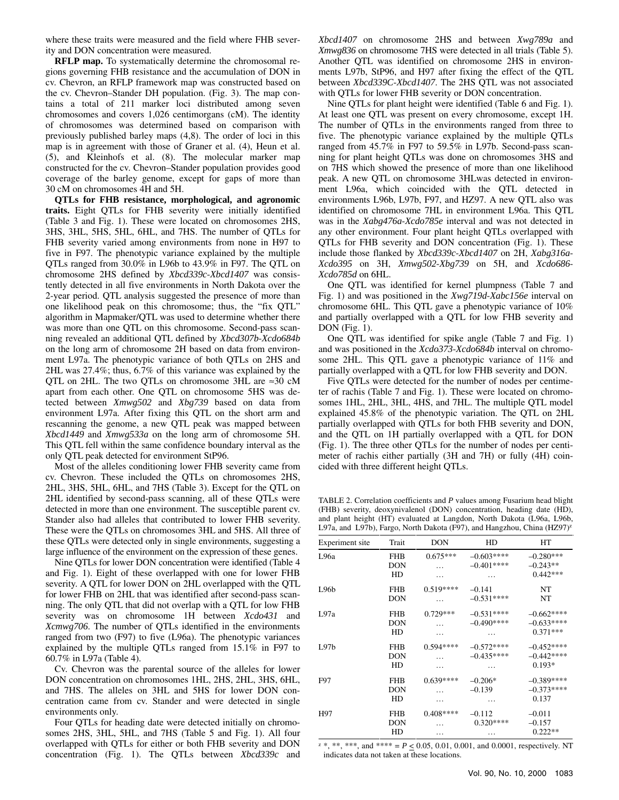where these traits were measured and the field where FHB severity and DON concentration were measured.

**RFLP map.** To systematically determine the chromosomal regions governing FHB resistance and the accumulation of DON in cv. Chevron, an RFLP framework map was constructed based on the cv. Chevron–Stander DH population. (Fig. 3). The map contains a total of 211 marker loci distributed among seven chromosomes and covers 1,026 centimorgans (cM). The identity of chromosomes was determined based on comparison with previously published barley maps (4,8). The order of loci in this map is in agreement with those of Graner et al. (4), Heun et al. (5), and Kleinhofs et al. (8). The molecular marker map constructed for the cv. Chevron–Stander population provides good coverage of the barley genome, except for gaps of more than 30 cM on chromosomes 4H and 5H.

**QTLs for FHB resistance, morphological, and agronomic traits.** Eight QTLs for FHB severity were initially identified (Table 3 and Fig. 1). These were located on chromosomes 2HS, 3HS, 3HL, 5HS, 5HL, 6HL, and 7HS. The number of QTLs for FHB severity varied among environments from none in H97 to five in F97. The phenotypic variance explained by the multiple QTLs ranged from 30.0% in L96b to 43.9% in F97. The QTL on chromosome 2HS defined by *Xbcd339c*-*Xbcd1407* was consistently detected in all five environments in North Dakota over the 2-year period. QTL analysis suggested the presence of more than one likelihood peak on this chromosome; thus, the "fix QTL" algorithm in Mapmaker/QTL was used to determine whether there was more than one QTL on this chromosome. Second-pass scanning revealed an additional QTL defined by *Xbcd307b*-*Xcdo684b* on the long arm of chromosome 2H based on data from environment L97a. The phenotypic variance of both QTLs on 2HS and 2HL was 27.4%; thus, 6.7% of this variance was explained by the QTL on 2HL. The two QTLs on chromosome 3HL are ≈30 cM apart from each other. One QTL on chromosome 5HS was detected between *Xmwg502* and *Xbg739* based on data from environment L97a. After fixing this QTL on the short arm and rescanning the genome, a new QTL peak was mapped between *Xbcd1449* and *Xmwg533a* on the long arm of chromosome 5H. This QTL fell within the same confidence boundary interval as the only QTL peak detected for environment StP96.

Most of the alleles conditioning lower FHB severity came from cv. Chevron. These included the QTLs on chromosomes 2HS, 2HL, 3HS, 5HL, 6HL, and 7HS (Table 3). Except for the QTL on 2HL identified by second-pass scanning, all of these QTLs were detected in more than one environment. The susceptible parent cv. Stander also had alleles that contributed to lower FHB severity. These were the QTLs on chromosomes 3HL and 5HS. All three of these QTLs were detected only in single environments, suggesting a large influence of the environment on the expression of these genes.

Nine QTLs for lower DON concentration were identified (Table 4 and Fig. 1). Eight of these overlapped with one for lower FHB severity. A QTL for lower DON on 2HL overlapped with the QTL for lower FHB on 2HL that was identified after second-pass scanning. The only QTL that did not overlap with a QTL for low FHB severity was on chromosome 1H between *Xcdo431* and *Xcmwg706*. The number of QTLs identified in the environments ranged from two (F97) to five (L96a). The phenotypic variances explained by the multiple QTLs ranged from 15.1% in F97 to 60.7% in L97a (Table 4).

Cv. Chevron was the parental source of the alleles for lower DON concentration on chromosomes 1HL, 2HS, 2HL, 3HS, 6HL, and 7HS. The alleles on 3HL and 5HS for lower DON concentration came from cv. Stander and were detected in single environments only.

Four QTLs for heading date were detected initially on chromosomes 2HS, 3HL, 5HL, and 7HS (Table 5 and Fig. 1). All four overlapped with QTLs for either or both FHB severity and DON concentration (Fig. 1). The QTLs between *Xbcd339c* and *Xbcd1407* on chromosome 2HS and between *Xwg789a* and *Xmwg836* on chromosome 7HS were detected in all trials (Table 5). Another QTL was identified on chromosome 2HS in environments L97b, StP96, and H97 after fixing the effect of the QTL between *Xbcd339C*-*Xbcd1407*. The 2HS QTL was not associated with QTLs for lower FHB severity or DON concentration.

Nine QTLs for plant height were identified (Table 6 and Fig. 1). At least one QTL was present on every chromosome, except 1H. The number of QTLs in the environments ranged from three to five. The phenotypic variance explained by the multiple QTLs ranged from 45.7% in F97 to 59.5% in L97b. Second-pass scanning for plant height QTLs was done on chromosomes 3HS and on 7HS which showed the presence of more than one likelihood peak. A new QTL on chromosome 3HLwas detected in environment L96a, which coincided with the QTL detected in environments L96b, L97b, F97, and HZ97. A new QTL also was identified on chromosome 7HL in environment L96a. This QTL was in the *Xabg476a*-*Xcdo785e* interval and was not detected in any other environment. Four plant height QTLs overlapped with QTLs for FHB severity and DON concentration (Fig. 1). These include those flanked by *Xbcd339c*-*Xbcd1407* on 2H, *Xabg316a*-*Xcdo395* on 3H, *Xmwg502*-*Xbg739* on 5H, and *Xcdo686*- *Xcdo785d* on 6HL.

One QTL was identified for kernel plumpness (Table 7 and Fig. 1) and was positioned in the *Xwg719d*-*Xabc156e* interval on chromosome 6HL. This QTL gave a phenotypic variance of 10% and partially overlapped with a QTL for low FHB severity and DON (Fig. 1).

One QTL was identified for spike angle (Table 7 and Fig. 1) and was positioned in the *Xcdo373*-*Xcdo684b* interval on chromosome 2HL. This QTL gave a phenotypic variance of 11% and partially overlapped with a QTL for low FHB severity and DON.

Five QTLs were detected for the number of nodes per centimeter of rachis (Table 7 and Fig. 1). These were located on chromosomes 1HL, 2HL, 3HL, 4HS, and 7HL. The multiple QTL model explained 45.8% of the phenotypic variation. The QTL on 2HL partially overlapped with QTLs for both FHB severity and DON, and the QTL on 1H partially overlapped with a QTL for DON (Fig. 1). The three other QTLs for the number of nodes per centimeter of rachis either partially (3H and 7H) or fully (4H) coincided with three different height QTLs.

TABLE 2. Correlation coefficients and *P* values among Fusarium head blight (FHB) severity, deoxynivalenol (DON) concentration, heading date (HD), and plant height (HT) evaluated at Langdon, North Dakota (L96a, L96b, L97a, and L97b), Fargo, North Dakota (F97), and Hangzhou, China (HZ97)<sup>z</sup>

| Experiment site   | Trait      | <b>DON</b> | HD          | HT          |
|-------------------|------------|------------|-------------|-------------|
| L <sub>96</sub> a | <b>FHB</b> | $0.675***$ | $-0.603***$ | $-0.280***$ |
|                   | <b>DON</b> | .          | $-0.401***$ | $-0.243**$  |
|                   | <b>HD</b>  | .          | .           | $0.442***$  |
| L96 <sub>b</sub>  | <b>FHB</b> | $0.519***$ | $-0.141$    | NT          |
|                   | <b>DON</b> | .          | $-0.531***$ | NT          |
| 1.97a             | <b>FHB</b> | $0.729***$ | $-0.531***$ | $-0.662***$ |
|                   | <b>DON</b> |            | $-0.490***$ | $-0.633***$ |
|                   | <b>HD</b>  | .          | .           | $0.371***$  |
| 1.97 <sub>b</sub> | <b>FHB</b> | $0.594***$ | $-0.572***$ | $-0.452***$ |
|                   | <b>DON</b> |            | $-0.435***$ | $-0.442***$ |
|                   | <b>HD</b>  | .          |             | $0.193*$    |
| F97               | <b>FHB</b> | $0.639***$ | $-0.206*$   | $-0.389***$ |
|                   | <b>DON</b> |            | $-0.139$    | $-0.373***$ |
|                   | HD         | .          | .           | 0.137       |
| H97               | <b>FHB</b> | $0.408***$ | $-0.112$    | $-0.011$    |
|                   | <b>DON</b> | .          | $0.320***$  | $-0.157$    |
|                   | HD         | .          |             | $0.222**$   |

 $z^*$ , \*\*, \*\*\*, and \*\*\*\* =  $P < 0.05$ , 0.01, 0.001, and 0.0001, respectively. NT indicates data not taken at these locations.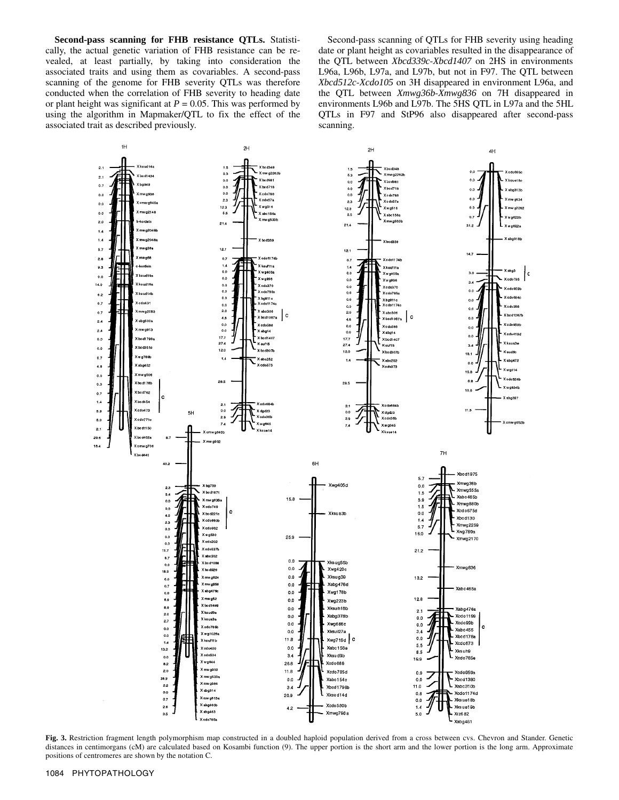**Second-pass scanning for FHB resistance QTLs.** Statistically, the actual genetic variation of FHB resistance can be revealed, at least partially, by taking into consideration the associated traits and using them as covariables. A second-pass scanning of the genome for FHB severity QTLs was therefore conducted when the correlation of FHB severity to heading date or plant height was significant at  $P = 0.05$ . This was performed by using the algorithm in Mapmaker/QTL to fix the effect of the associated trait as described previously.

Second-pass scanning of QTLs for FHB severity using heading date or plant height as covariables resulted in the disappearance of the QTL between *Xbcd339c*-*Xbcd1407* on 2HS in environments L96a, L96b, L97a, and L97b, but not in F97. The QTL between *Xbcd512c*-*Xcdo105* on 3H disappeared in environment L96a, and the QTL between *Xmwg36b*-*Xmwg836* on 7H disappeared in environments L96b and L97b. The 5HS QTL in L97a and the 5HL QTLs in F97 and StP96 also disappeared after second-pass scanning.



Fig. 3. Restriction fragment length polymorphism map constructed in a doubled haploid population derived from a cross between cvs. Chevron and Stander. Genetic distances in centimorgans (cM) are calculated based on Kosambi function (9). The upper portion is the short arm and the lower portion is the long arm. Approximate positions of centromeres are shown by the notation C.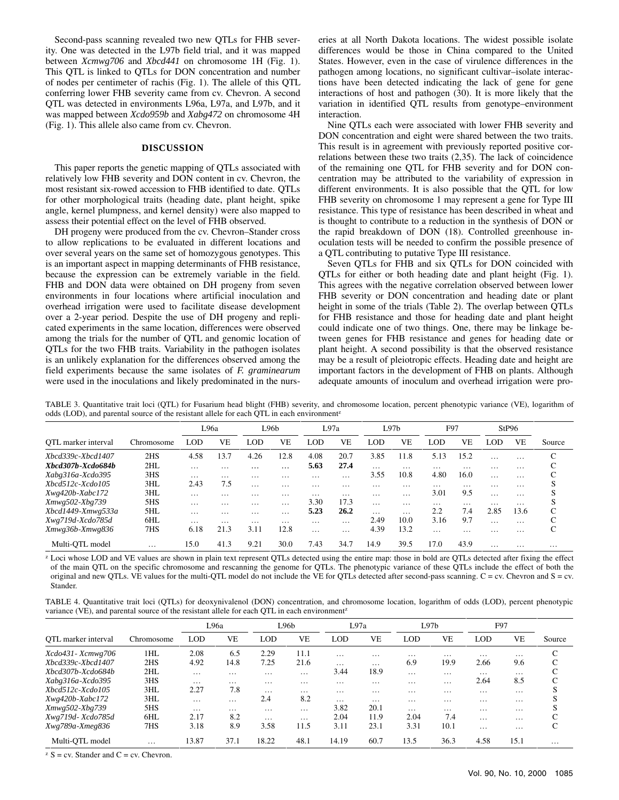Second-pass scanning revealed two new QTLs for FHB severity. One was detected in the L97b field trial, and it was mapped between *Xcmwg706* and *Xbcd441* on chromosome 1H (Fig. 1). This QTL is linked to QTLs for DON concentration and number of nodes per centimeter of rachis (Fig. 1). The allele of this QTL conferring lower FHB severity came from cv. Chevron. A second QTL was detected in environments L96a, L97a, and L97b, and it was mapped between *Xcdo959b* and *Xabg472* on chromosome 4H (Fig. 1). This allele also came from cv. Chevron.

### **DISCUSSION**

This paper reports the genetic mapping of QTLs associated with relatively low FHB severity and DON content in cv. Chevron, the most resistant six-rowed accession to FHB identified to date. QTLs for other morphological traits (heading date, plant height, spike angle, kernel plumpness, and kernel density) were also mapped to assess their potential effect on the level of FHB observed.

DH progeny were produced from the cv. Chevron–Stander cross to allow replications to be evaluated in different locations and over several years on the same set of homozygous genotypes. This is an important aspect in mapping determinants of FHB resistance, because the expression can be extremely variable in the field. FHB and DON data were obtained on DH progeny from seven environments in four locations where artificial inoculation and overhead irrigation were used to facilitate disease development over a 2-year period. Despite the use of DH progeny and replicated experiments in the same location, differences were observed among the trials for the number of QTL and genomic location of QTLs for the two FHB traits. Variability in the pathogen isolates is an unlikely explanation for the differences observed among the field experiments because the same isolates of *F. graminearum* were used in the inoculations and likely predominated in the nurseries at all North Dakota locations. The widest possible isolate differences would be those in China compared to the United States. However, even in the case of virulence differences in the pathogen among locations, no significant cultivar–isolate interactions have been detected indicating the lack of gene for gene interactions of host and pathogen (30). It is more likely that the variation in identified QTL results from genotype–environment interaction.

Nine QTLs each were associated with lower FHB severity and DON concentration and eight were shared between the two traits. This result is in agreement with previously reported positive correlations between these two traits (2,35). The lack of coincidence of the remaining one QTL for FHB severity and for DON concentration may be attributed to the variability of expression in different environments. It is also possible that the QTL for low FHB severity on chromosome 1 may represent a gene for Type III resistance. This type of resistance has been described in wheat and is thought to contribute to a reduction in the synthesis of DON or the rapid breakdown of DON (18). Controlled greenhouse inoculation tests will be needed to confirm the possible presence of a QTL contributing to putative Type III resistance.

Seven QTLs for FHB and six QTLs for DON coincided with QTLs for either or both heading date and plant height (Fig. 1). This agrees with the negative correlation observed between lower FHB severity or DON concentration and heading date or plant height in some of the trials (Table 2). The overlap between QTLs for FHB resistance and those for heading date and plant height could indicate one of two things. One, there may be linkage between genes for FHB resistance and genes for heading date or plant height. A second possibility is that the observed resistance may be a result of pleiotropic effects. Heading date and height are important factors in the development of FHB on plants. Although adequate amounts of inoculum and overhead irrigation were pro-

TABLE 3. Quantitative trait loci (QTL) for Fusarium head blight (FHB) severity, and chromosome location, percent phenotypic variance (VE), logarithm of odds (LOD), and parental source of the resistant allele for each QTL in each environment<sup>z</sup>

| $\cdots$               |                 |            |          | ÷        |                  |          |           |          |          |          |          |          |          |          |
|------------------------|-----------------|------------|----------|----------|------------------|----------|-----------|----------|----------|----------|----------|----------|----------|----------|
|                        |                 |            | L96a     |          | L96 <sub>b</sub> |          | L97a      |          | L97b     |          | F97      |          | StP96    |          |
| OTL marker interval    | Chromosome      | <b>LOD</b> | VE       | LOD      | VE               | LOD      | <b>VE</b> | LOD      | VE       | LOD      | VE       | LOD.     | VE       | Source   |
| Xbcd339c-Xbcd1407      | 2 <sub>HS</sub> | 4.58       | 13.7     | 4.26     | 12.8             | 4.08     | 20.7      | 3.85     | 11.8     | 5.13     | 15.2     | $\cdot$  | $\cdots$ | ⌒<br>U   |
| Xbcd307b-Xcdo684b      | 2HL             | $\cdots$   | $\cdots$ | $\cdots$ | $\cdots$         | 5.63     | 27.4      | $\cdots$ | .        | $\cdots$ | $\cdots$ | $\cdots$ | $\cdots$ |          |
| Xabg316a-Xcdo395       | 3HS             | $\cdots$   | $\cdots$ | $\cdots$ | $\cdots$         | $\cdots$ | .         | 3.55     | 10.8     | 4.80     | 16.0     | $\cdots$ | .        |          |
| $Xbcd512c$ - $Xcd0105$ | 3HL             | 2.43       | 7.5      | $\cdots$ | $\cdots$         | $\cdots$ | .         | $\cdots$ | $\cdots$ | $\cdots$ | $\cdots$ | $\cdots$ | $\cdots$ |          |
| Xwg420b-Xabc172        | 3HL             | $\cdots$   | $\cdots$ | $\cdots$ | $\cdots$         | $\cdots$ | .         | $\cdots$ | $\cdots$ | 3.01     | 9.5      | $\cdots$ | $\cdots$ |          |
| Xmwg502-Xbg739         | 5HS             | $\cdots$   | $\cdots$ | $\cdots$ | $\cdots$         | 3.30     | 17.3      | $\cdots$ | $\cdots$ | $\cdots$ | $\cdots$ | $\cdots$ | $\cdots$ |          |
| Xbcd1449-Xmwg533a      | 5HL             | $\cdots$   | $\cdots$ | $\cdots$ | $\cdots$         | 5.23     | 26.2      | $\cdots$ | $\cdots$ | 2.2      | 7.4      | 2.85     | 13.6     | C        |
| Xwg719d-Xcdo785d       | 6HL             | $\cdots$   | $\cdots$ | $\cdots$ | $\cdots$         | $\cdots$ | .         | 2.49     | 10.0     | 3.16     | 9.7      | $\cdots$ | .        | ⌒        |
| Xmwg36b-Xmwg836        | 7HS             | 6.18       | 21.3     | 3.11     | 12.8             | $\cdots$ | .         | 4.39     | 13.2     | $\cdots$ | .        | $\cdots$ | $\cdots$ | C        |
| Multi-QTL model        | $\cdots$        | 15.0       | 41.3     | 9.21     | 30.0             | 7.43     | 34.7      | 14.9     | 39.5     | 17.0     | 43.9     | $\cdot$  | $\cdots$ | $\cdots$ |
|                        |                 |            |          |          |                  |          |           |          |          |          |          |          |          |          |

<sup>z</sup> Loci whose LOD and VE values are shown in plain text represent QTLs detected using the entire map: those in bold are QTLs detected after fixing the effect of the main QTL on the specific chromosome and rescanning the genome for QTLs. The phenotypic variance of these QTLs include the effect of both the original and new QTLs. VE values for the multi-QTL model do not include the VE for QTLs detected after second-pass scanning.  $C = cv$ . Chevron and  $S = cv$ . Stander.

| TABLE 4. Quantitative trait loci (QTLs) for deoxynivalenol (DON) concentration, and chromosome location, logarithm of odds (LOD), percent phenotypic |  |  |  |  |  |  |
|------------------------------------------------------------------------------------------------------------------------------------------------------|--|--|--|--|--|--|
| variance (VE), and parental source of the resistant allele for each QTL in each environment <sup>2</sup>                                             |  |  |  |  |  |  |

|                     |            |          | L96a      |          | L96b      |          | L97a     | L97b       |           | F97      |          |          |
|---------------------|------------|----------|-----------|----------|-----------|----------|----------|------------|-----------|----------|----------|----------|
| OTL marker interval | Chromosome | LOD      | <b>VE</b> | LOD      | <b>VE</b> | LOD      | VE       | <b>LOD</b> | <b>VE</b> | LOD      | VE       | Source   |
| Xcdo431 - Xcmwg706  | 1HL        | 2.08     | 6.5       | 2.29     | 11.1      | $\cdots$ | $\cdots$ | .          | $\cdots$  | $\cdots$ | $\cdots$ | C        |
| Xbcd339c-Xbcd1407   | 2HS        | 4.92     | 14.8      | 7.25     | 21.6      | $\cdots$ | $\cdots$ | 6.9        | 19.9      | 2.66     | 9.6      | C        |
| Xbcd307b-Xcdo684b   | 2HL        | $\cdots$ | $\cdots$  | $\cdots$ | $\cdots$  | 3.44     | 18.9     | $\cdots$   | $\cdots$  | $\cdots$ | $\cdots$ | C        |
| Xabg316a-Xcdo395    | 3HS        | $\cdots$ | $\cdots$  | $\cdots$ | $\cdots$  | $\cdots$ | $\cdots$ | $\cdots$   | $\cdots$  | 2.64     | 8.5      | C        |
| Xbcd512c-Xcdo105    | 3HL        | 2.27     | 7.8       | $\cdots$ | $\cdots$  | $\cdots$ | $\cdots$ | .          | $\cdots$  | $\cdots$ | $\cdots$ |          |
| Xwg420b-Xabc172     | 3HL        | $\cdots$ | $\cdots$  | 2.4      | 8.2       | $\cdots$ | $\cdots$ | $\cdots$   | $\cdots$  | $\cdots$ | $\cdots$ |          |
| Xmwg502-Xbg739      | 5HS        | $\cdots$ | $\cdots$  | $\cdots$ | $\cdots$  | 3.82     | 20.1     | .          | $\cdots$  | $\cdots$ | $\cdots$ |          |
| Xwg719d-Xcdo785d    | 6HL        | 2.17     | 8.2       | $\cdots$ | $\cdots$  | 2.04     | 11.9     | 2.04       | 7.4       | $\cdots$ | $\cdots$ | $\sim$   |
| Xwg789a-Xmeg836     | 7HS        | 3.18     | 8.9       | 3.58     | 11.5      | 3.11     | 23.1     | 3.31       | 10.1      | $\cdots$ | $\cdots$ | C        |
| Multi-OTL model     | $\cdots$   | 13.87    | 37.1      | 18.22    | 48.1      | 14.19    | 60.7     | 13.5       | 36.3      | 4.58     | 15.1     | $\cdots$ |

 $z S = cv$ . Stander and  $C = cv$ . Chevron.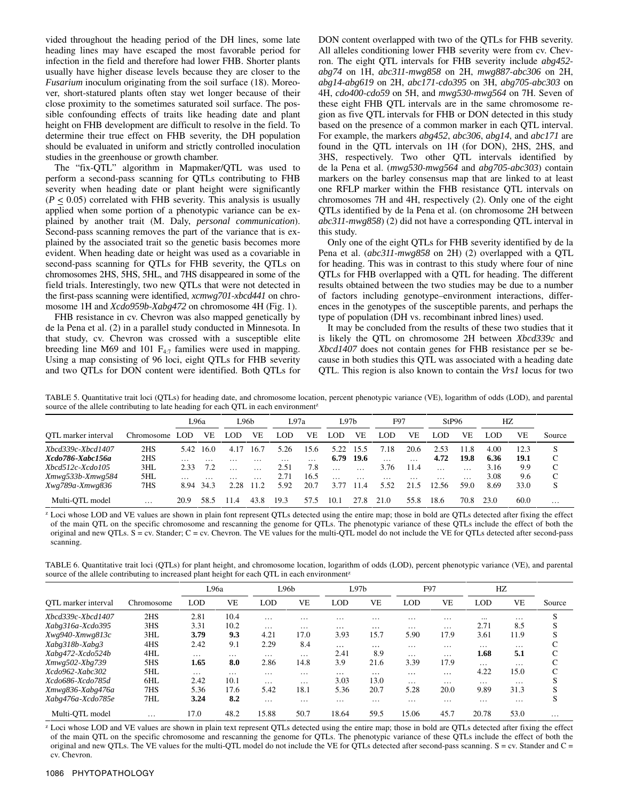vided throughout the heading period of the DH lines, some late heading lines may have escaped the most favorable period for infection in the field and therefore had lower FHB. Shorter plants usually have higher disease levels because they are closer to the *Fusarium* inoculum originating from the soil surface (18). Moreover, short-statured plants often stay wet longer because of their close proximity to the sometimes saturated soil surface. The possible confounding effects of traits like heading date and plant height on FHB development are difficult to resolve in the field. To determine their true effect on FHB severity, the DH population should be evaluated in uniform and strictly controlled inoculation studies in the greenhouse or growth chamber.

The "fix-QTL" algorithm in Mapmaker/QTL was used to perform a second-pass scanning for QTLs contributing to FHB severity when heading date or plant height were significantly  $(P \le 0.05)$  correlated with FHB severity. This analysis is usually applied when some portion of a phenotypic variance can be explained by another trait (M. Daly, *personal communication*). Second-pass scanning removes the part of the variance that is explained by the associated trait so the genetic basis becomes more evident. When heading date or height was used as a covariable in second-pass scanning for QTLs for FHB severity, the QTLs on chromosomes 2HS, 5HS, 5HL, and 7HS disappeared in some of the field trials. Interestingly, two new QTLs that were not detected in the first-pass scanning were identified, *xcmwg701*-*xbcd441* on chromosome 1H and *Xcdo959b*-*Xabg472* on chromosome 4H (Fig. 1).

FHB resistance in cv. Chevron was also mapped genetically by de la Pena et al. (2) in a parallel study conducted in Minnesota. In that study, cv. Chevron was crossed with a susceptible elite breeding line M69 and 101  $F_{4:7}$  families were used in mapping. Using a map consisting of 96 loci, eight QTLs for FHB severity and two QTLs for DON content were identified. Both QTLs for DON content overlapped with two of the QTLs for FHB severity. All alleles conditioning lower FHB severity were from cv. Chevron. The eight QTL intervals for FHB severity include *abg452 abg74* on 1H, *abc311*-*mwg858* on 2H, *mwg887*-*abc306* on 2H, *abg14*-*abg619* on 2H, *abc171*-*cdo395* on 3H, *abg705*-*abc303* on 4H, *cdo400*-*cdo59* on 5H, and *mwg530*-*mwg564* on 7H. Seven of these eight FHB QTL intervals are in the same chromosome region as five QTL intervals for FHB or DON detected in this study based on the presence of a common marker in each QTL interval. For example, the markers *abg452*, *abc306*, *abg14*, and *abc171* are found in the QTL intervals on 1H (for DON), 2HS, 2HS, and 3HS, respectively. Two other QTL intervals identified by de la Pena et al. (*mwg530*-*mwg564* and *abg705*-*abc303*) contain markers on the barley consensus map that are linked to at least one RFLP marker within the FHB resistance QTL intervals on chromosomes 7H and 4H, respectively (2). Only one of the eight QTLs identified by de la Pena et al. (on chromosome 2H between *abc311*-*mwg858*) (2) did not have a corresponding QTL interval in this study.

Only one of the eight QTLs for FHB severity identified by de la Pena et al. (*abc311*-*mwg858* on 2H) (2) overlapped with a QTL for heading. This was in contrast to this study where four of nine QTLs for FHB overlapped with a QTL for heading. The different results obtained between the two studies may be due to a number of factors including genotype–environment interactions, differences in the genotypes of the susceptible parents, and perhaps the type of population (DH vs. recombinant inbred lines) used.

It may be concluded from the results of these two studies that it is likely the QTL on chromosome 2H between *Xbcd339c* and *Xbcd1407* does not contain genes for FHB resistance per se because in both studies this QTL was associated with a heading date QTL. This region is also known to contain the *Vrs1* locus for two

TABLE 5. Quantitative trait loci (QTLs) for heading date, and chromosome location, percent phenotypic variance (VE), logarithm of odds (LOD), and parental source of the allele contributing to late heading for each QTL in each environment<sup>z</sup>

|                        |            | L96a       |          | L96b |          | L97a     |          | L97 <sub>b</sub> |          | F97      |          | StP96    |                   | HZ   |      |          |
|------------------------|------------|------------|----------|------|----------|----------|----------|------------------|----------|----------|----------|----------|-------------------|------|------|----------|
| OTL marker interval    | Chromosome | <b>LOD</b> | VE       | LOD  | VE       | LOD      | VE       | LOD              | VE       | LOD      | VЕ       | LOD      | VF.               | LOD  | VE   | Source   |
| Xbcd339c-Xbcd1407      | 2HS        | 5.42       | 16.0     | 4.17 | 16.7     | 5.26     | 15.6     | 5.22             | 15.5     | 7.18     | 20.6     | 2.53     | 11.8              | 4.00 | 12.3 | S        |
| Xcdo786-Xabc156a       | 2HS        | $\cdots$   | $\cdots$ | .    | $\cdots$ | $\cdots$ | $\cdots$ | 6.79             | 19.6     | $\cdots$ | $\cdots$ | 4.72     | 19.8              | 6.36 | 19.1 | C        |
| $Xbcd512c$ - $Xcd0105$ | 3HL        | 2.33       | 7.2      |      |          | 2.51     | 7.8      |                  |          | 3.76     | 11.4     |          | $\cdots$          | 3.16 | 9.9  | C        |
| Xmwg533b-Xmwg584       | 5HL        | $\cdot$    | $\cdots$ | .    | .        | 2.71     | 16.5     | $\cdots$         | $\cdots$ | $\cdots$ | $\cdots$ | $\cdots$ | $\cdot\cdot\cdot$ | 3.08 | 9.6  | C        |
| Xwg789a-Xmwg836        | 7HS        | 8.94       | 34.3     | 2.28 | 112      | 5.92     | 20.7     | 3.77             | 11.4     | 5.52     | 21.5     | 12.56    | 59.0              | 8.69 | 33.0 | S        |
| Multi-OTL model        | $\cdots$   | 20.9       | 58.5     | 11.4 | 43.8     | 19.3     | 57.5     | 10.1             | 27.8     | 21.0     | 55.8     | 18.6     | 70.8              | 23.0 | 60.0 | $\cdots$ |

<sup>z</sup> Loci whose LOD and VE values are shown in plain font represent QTLs detected using the entire map; those in bold are QTLs detected after fixing the effect of the main QTL on the specific chromosome and rescanning the genome for QTLs. The phenotypic variance of these QTLs include the effect of both the original and new QTLs. S = cv. Stander; C = cv. Chevron. The VE values for the multi-QTL model do not include the VE for QTLs detected after second-pass scanning.

TABLE 6. Quantitative trait loci (QTLs) for plant height, and chromosome location, logarithm of odds (LOD), percent phenotypic variance (VE), and parental source of the allele contributing to increased plant height for each QTL in each environment<sup>z</sup>

|                     |                 |          | L96a      |          | L96b     | L97b       |                   | F97      |          |          | HZ       |        |
|---------------------|-----------------|----------|-----------|----------|----------|------------|-------------------|----------|----------|----------|----------|--------|
| OTL marker interval | Chromosome      | LOD      | <b>VE</b> | LOD      | VE       | <b>LOD</b> | VE                | LOD      | VE       | LOD      | VE       | Source |
| Xbcd339c-Xbcd1407   | 2 <sub>HS</sub> | 2.81     | 10.4      | $\cdots$ | $\cdots$ | $\cdots$   | $\cdot\cdot\cdot$ | .        | $\cdots$ | $\cdots$ | $\cdots$ | S      |
| Xabg316a-Xcdo395    | 3HS             | 3.31     | 10.2      | $\cdots$ | $\cdots$ |            | $\cdots$          | .        | $\cdots$ | 2.71     | 8.5      | S      |
| Xwg940-Xmwg813c     | 3HL             | 3.79     | 9.3       | 4.21     | 17.0     | 3.93       | 15.7              | 5.90     | 17.9     | 3.61     | 11.9     | S      |
| Xabg318b-Xabg3      | 4HS             | 2.42     | 9.1       | 2.29     | 8.4      | $\cdots$   | $\cdots$          | $\cdots$ | $\cdots$ | .        | $\cdots$ |        |
| Xabg472-Xcdo524b    | 4HL             | .        | .         | $\cdots$ | $\cdots$ | 2.41       | 8.9               | .        | $\cdots$ | 1.68     | 5.1      | C      |
| Xmwg502-Xbg739      | 5HS             | 1.65     | 8.0       | 2.86     | 14.8     | 3.9        | 21.6              | 3.39     | 17.9     | $\cdots$ | $\cdots$ | C      |
| $Xcdo962-Xabc302$   | 5HL             | $\cdots$ | .         | $\cdots$ | $\cdots$ | $\cdots$   | $\cdots$          | $\cdots$ | $\cdots$ | 4.22     | 15.0     | C      |
| Xcdo686-Xcdo785d    | 6HL             | 2.42     | 10.1      | $\cdots$ | $\cdots$ | 3.03       | 13.0              | .        | $\cdots$ | .        | $\cdots$ |        |
| Xmwg836-Xabg476a    | 7HS             | 5.36     | 17.6      | 5.42     | 18.1     | 5.36       | 20.7              | 5.28     | 20.0     | 9.89     | 31.3     | S      |
| Xabg476a-Xcdo785e   | 7HL             | 3.24     | 8.2       | $\cdots$ | $\cdots$ | $\cdots$   | $\cdots$          | .        | $\cdots$ | $\cdots$ | $\cdots$ | S      |
| Multi-OTL model     | $\cdots$        | 17.0     | 48.2      | 15.88    | 50.7     | 18.64      | 59.5              | 15.06    | 45.7     | 20.78    | 53.0     | .      |

<sup>z</sup> Loci whose LOD and VE values are shown in plain text represent QTLs detected using the entire map; those in bold are QTLs detected after fixing the effect of the main QTL on the specific chromosome and rescanning the genome for QTLs. The phenotypic variance of these QTLs include the effect of both the original and new QTLs. The VE values for the multi-QTL model do not include the VE for QTLs detected after second-pass scanning.  $S = cv$ . Stander and  $C =$ cv. Chevron.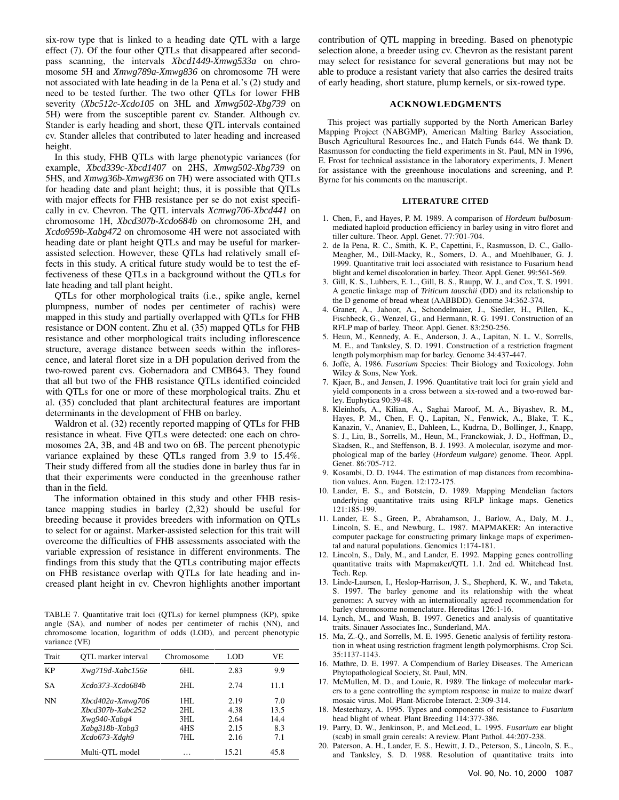six-row type that is linked to a heading date QTL with a large effect (7). Of the four other QTLs that disappeared after secondpass scanning, the intervals *Xbcd1449*-*Xmwg533a* on chromosome 5H and *Xmwg789a*-*Xmwg836* on chromosome 7H were not associated with late heading in de la Pena et al.'s (2) study and need to be tested further. The two other QTLs for lower FHB severity (*Xbc512c*-*Xcdo105* on 3HL and *Xmwg502*-*Xbg739* on 5H) were from the susceptible parent cv. Stander. Although cv. Stander is early heading and short, these QTL intervals contained cv. Stander alleles that contributed to later heading and increased height.

In this study, FHB QTLs with large phenotypic variances (for example, *Xbcd339c*-*Xbcd1407* on 2HS, *Xmwg502*-*Xbg739* on 5HS, and *Xmwg36b*-*Xmwg836* on 7H) were associated with QTLs for heading date and plant height; thus, it is possible that QTLs with major effects for FHB resistance per se do not exist specifically in cv. Chevron. The QTL intervals *Xcmwg706*-*Xbcd441* on chromosome 1H, *Xbcd307b*-*Xcdo684b* on chromosome 2H, and *Xcdo959b*-*Xabg472* on chromosome 4H were not associated with heading date or plant height QTLs and may be useful for markerassisted selection. However, these QTLs had relatively small effects in this study. A critical future study would be to test the effectiveness of these QTLs in a background without the QTLs for late heading and tall plant height.

QTLs for other morphological traits (i.e., spike angle, kernel plumpness, number of nodes per centimeter of rachis) were mapped in this study and partially overlapped with QTLs for FHB resistance or DON content. Zhu et al. (35) mapped QTLs for FHB resistance and other morphological traits including inflorescence structure, average distance between seeds within the inflorescence, and lateral floret size in a DH population derived from the two-rowed parent cvs. Gobernadora and CMB643. They found that all but two of the FHB resistance QTLs identified coincided with QTLs for one or more of these morphological traits. Zhu et al. (35) concluded that plant architectural features are important determinants in the development of FHB on barley.

Waldron et al. (32) recently reported mapping of QTLs for FHB resistance in wheat. Five QTLs were detected: one each on chromosomes 2A, 3B, and 4B and two on 6B. The percent phenotypic variance explained by these QTLs ranged from 3.9 to 15.4%. Their study differed from all the studies done in barley thus far in that their experiments were conducted in the greenhouse rather than in the field.

The information obtained in this study and other FHB resistance mapping studies in barley (2,32) should be useful for breeding because it provides breeders with information on QTLs to select for or against. Marker-assisted selection for this trait will overcome the difficulties of FHB assessments associated with the variable expression of resistance in different environments. The findings from this study that the QTLs contributing major effects on FHB resistance overlap with QTLs for late heading and increased plant height in cv. Chevron highlights another important

TABLE 7. Quantitative trait loci (QTLs) for kernel plumpness (KP), spike angle (SA), and number of nodes per centimeter of rachis (NN), and chromosome location, logarithm of odds (LOD), and percent phenotypic variance (VE)

| Trait     | OTL marker interval                                                                       | Chromosome                       | <b>LOD</b>                           | VE                                |
|-----------|-------------------------------------------------------------------------------------------|----------------------------------|--------------------------------------|-----------------------------------|
| KP        | Xwg719d-Xabc156e                                                                          | 6HL                              | 2.83                                 | 9.9                               |
| <b>SA</b> | Xcdo373-Xcdo684b                                                                          | 2HL                              | 2.74                                 | 11.1                              |
| <b>NN</b> | Xbcd402a-Xmwg706<br>$Xbcd307b-Xabc252$<br>Xwg940-Xabg4<br>Xabg318b-Xabg3<br>Xcdo673-Xdgh9 | 1HL<br>2HI.<br>3HL<br>4HS<br>7HL | 2.19<br>4.38<br>2.64<br>2.15<br>2.16 | 7.0<br>13.5<br>14.4<br>8.3<br>7.1 |
|           | Multi-OTL model                                                                           | .                                | 15.21                                | 45.8                              |

contribution of QTL mapping in breeding. Based on phenotypic selection alone, a breeder using cv. Chevron as the resistant parent may select for resistance for several generations but may not be able to produce a resistant variety that also carries the desired traits of early heading, short stature, plump kernels, or six-rowed type.

## **ACKNOWLEDGMENTS**

This project was partially supported by the North American Barley Mapping Project (NABGMP), American Malting Barley Association, Busch Agricultural Resources Inc., and Hatch Funds 644. We thank D. Rasmusson for conducting the field experiments in St. Paul, MN in 1996, E. Frost for technical assistance in the laboratory experiments, J. Menert for assistance with the greenhouse inoculations and screening, and P. Byrne for his comments on the manuscript.

#### **LITERATURE CITED**

- 1. Chen, F., and Hayes, P. M. 1989. A comparison of *Hordeum bulbosum*mediated haploid production efficiency in barley using in vitro floret and tiller culture. Theor. Appl. Genet. 77:701-704.
- 2. de la Pena, R. C., Smith, K. P., Capettini, F., Rasmusson, D. C., Gallo-Meagher, M., Dill-Macky, R., Somers, D. A., and Muehlbauer, G. J. 1999. Quantitative trait loci associated with resistance to Fusarium head blight and kernel discoloration in barley. Theor. Appl. Genet. 99:561-569.
- 3. Gill, K. S., Lubbers, E. L., Gill, B. S., Raupp, W. J., and Cox, T. S. 1991. A genetic linkage map of *Triticum tauschii* (DD) and its relationship to the D genome of bread wheat (AABBDD). Genome 34:362-374.
- 4. Graner, A., Jahoor, A., Schondelmaier, J., Siedler, H., Pillen, K., Fischbeck, G., Wenzel, G., and Hermann, R. G. 1991. Construction of an RFLP map of barley. Theor. Appl. Genet. 83:250-256.
- 5. Heun, M., Kennedy, A. E., Anderson, J. A., Lapitan, N. L. V., Sorrells, M. E., and Tanksley, S. D. 1991. Construction of a restriction fragment length polymorphism map for barley. Genome 34:437-447.
- 6. Joffe, A. 1986. *Fusarium* Species: Their Biology and Toxicology. John Wiley & Sons, New York.
- 7. Kjaer, B., and Jensen, J. 1996. Quantitative trait loci for grain yield and yield components in a cross between a six-rowed and a two-rowed barley. Euphytica 90:39-48.
- 8. Kleinhofs, A., Kilian, A., Saghai Maroof, M. A., Biyashev, R. M., Hayes, P. M., Chen, F. Q., Lapitan, N., Fenwick, A., Blake, T. K., Kanazin, V., Ananiev, E., Dahleen, L., Kudrna, D., Bollinger, J., Knapp, S. J., Liu, B., Sorrells, M., Heun, M., Franckowiak, J. D., Hoffman, D., Skadsen, R., and Steffenson, B. J. 1993. A molecular, isozyme and morphological map of the barley (*Hordeum vulgare*) genome. Theor. Appl. Genet. 86:705-712.
- 9. Kosambi, D. D. 1944. The estimation of map distances from recombination values. Ann. Eugen. 12:172-175.
- 10. Lander, E. S., and Botstein, D. 1989. Mapping Mendelian factors underlying quantitative traits using RFLP linkage maps. Genetics 121:185-199.
- 11. Lander, E. S., Green, P., Abrahamson, J., Barlow, A., Daly, M. J., Lincoln, S. E., and Newburg, L. 1987. MAPMAKER: An interactive computer package for constructing primary linkage maps of experimental and natural populations. Genomics 1:174-181.
- 12. Lincoln, S., Daly, M., and Lander, E. 1992. Mapping genes controlling quantitative traits with Mapmaker/QTL 1.1. 2nd ed. Whitehead Inst. Tech. Rep.
- 13. Linde-Laursen, I., Heslop-Harrison, J. S., Shepherd, K. W., and Taketa, S. 1997. The barley genome and its relationship with the wheat genomes: A survey with an internationally agreed recommendation for barley chromosome nomenclature. Hereditas 126:1-16.
- 14. Lynch, M., and Wash, B. 1997. Genetics and analysis of quantitative traits. Sinauer Associates Inc., Sunderland, MA.
- 15. Ma, Z.-Q., and Sorrells, M. E. 1995. Genetic analysis of fertility restoration in wheat using restriction fragment length polymorphisms. Crop Sci. 35:1137-1143.
- 16. Mathre, D. E. 1997. A Compendium of Barley Diseases. The American Phytopathological Society, St. Paul, MN.
- 17. McMullen, M. D., and Louie, R. 1989. The linkage of molecular markers to a gene controlling the symptom response in maize to maize dwarf mosaic virus. Mol. Plant-Microbe Interact. 2:309-314.
- 18. Mesterhazy, A. 1995. Types and components of resistance to *Fusarium* head blight of wheat. Plant Breeding 114:377-386.
- 19. Parry, D. W., Jenkinson, P., and McLeod, L. 1995. *Fusarium* ear blight (scab) in small grain cereals: A review. Plant Pathol. 44:207-238.
- 20. Paterson, A. H., Lander, E. S., Hewitt, J. D., Peterson, S., Lincoln, S. E., and Tanksley, S. D. 1988. Resolution of quantitative traits into